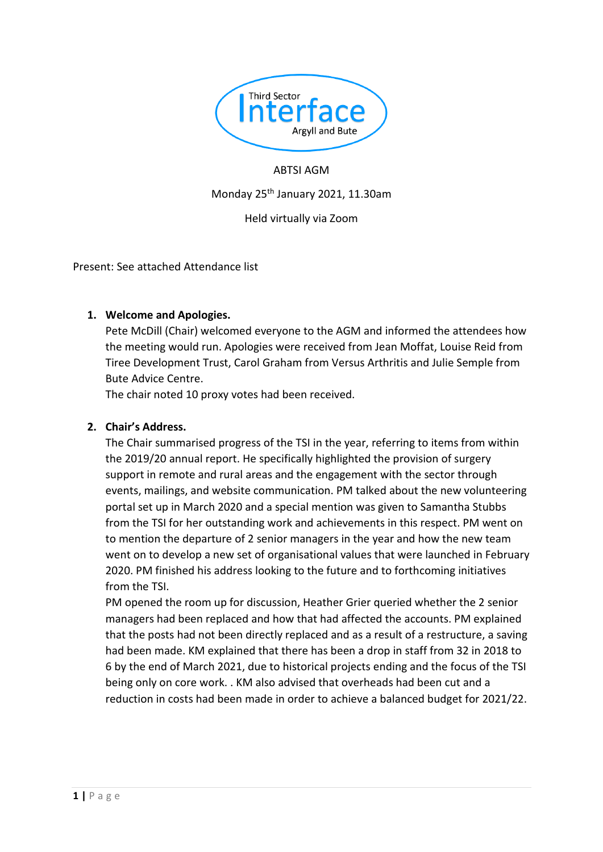

### ABTSI AGM

### Monday 25th January 2021, 11.30am

Held virtually via Zoom

Present: See attached Attendance list

### **1. Welcome and Apologies.**

Pete McDill (Chair) welcomed everyone to the AGM and informed the attendees how the meeting would run. Apologies were received from Jean Moffat, Louise Reid from Tiree Development Trust, Carol Graham from Versus Arthritis and Julie Semple from Bute Advice Centre.

The chair noted 10 proxy votes had been received.

### **2. Chair's Address.**

The Chair summarised progress of the TSI in the year, referring to items from within the 2019/20 annual report. He specifically highlighted the provision of surgery support in remote and rural areas and the engagement with the sector through events, mailings, and website communication. PM talked about the new volunteering portal set up in March 2020 and a special mention was given to Samantha Stubbs from the TSI for her outstanding work and achievements in this respect. PM went on to mention the departure of 2 senior managers in the year and how the new team went on to develop a new set of organisational values that were launched in February 2020. PM finished his address looking to the future and to forthcoming initiatives from the TSI.

PM opened the room up for discussion, Heather Grier queried whether the 2 senior managers had been replaced and how that had affected the accounts. PM explained that the posts had not been directly replaced and as a result of a restructure, a saving had been made. KM explained that there has been a drop in staff from 32 in 2018 to 6 by the end of March 2021, due to historical projects ending and the focus of the TSI being only on core work. . KM also advised that overheads had been cut and a reduction in costs had been made in order to achieve a balanced budget for 2021/22.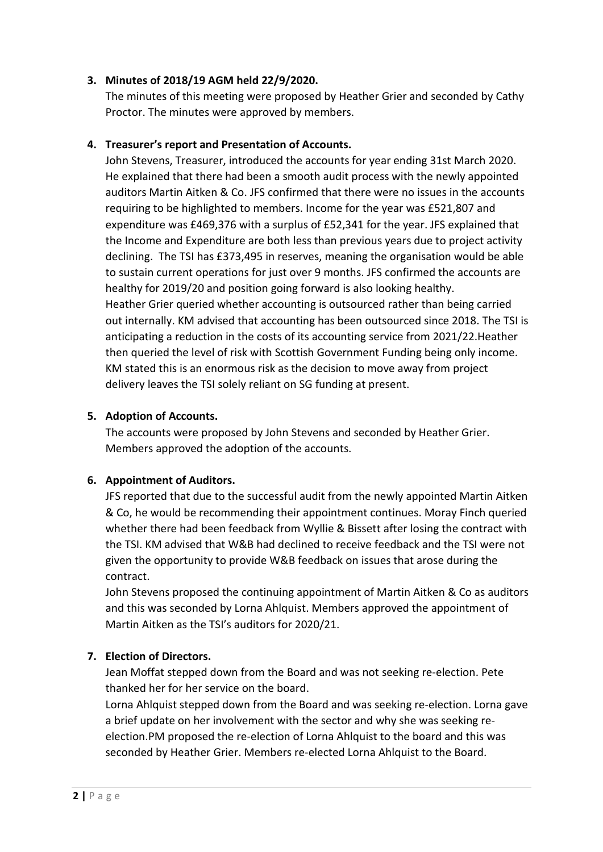# **3. Minutes of 2018/19 AGM held 22/9/2020.**

The minutes of this meeting were proposed by Heather Grier and seconded by Cathy Proctor. The minutes were approved by members.

### **4. Treasurer's report and Presentation of Accounts.**

John Stevens, Treasurer, introduced the accounts for year ending 31st March 2020. He explained that there had been a smooth audit process with the newly appointed auditors Martin Aitken & Co. JFS confirmed that there were no issues in the accounts requiring to be highlighted to members. Income for the year was £521,807 and expenditure was £469,376 with a surplus of £52,341 for the year. JFS explained that the Income and Expenditure are both less than previous years due to project activity declining. The TSI has £373,495 in reserves, meaning the organisation would be able to sustain current operations for just over 9 months. JFS confirmed the accounts are healthy for 2019/20 and position going forward is also looking healthy. Heather Grier queried whether accounting is outsourced rather than being carried out internally. KM advised that accounting has been outsourced since 2018. The TSI is anticipating a reduction in the costs of its accounting service from 2021/22.Heather then queried the level of risk with Scottish Government Funding being only income. KM stated this is an enormous risk as the decision to move away from project delivery leaves the TSI solely reliant on SG funding at present.

### **5. Adoption of Accounts.**

The accounts were proposed by John Stevens and seconded by Heather Grier. Members approved the adoption of the accounts.

#### **6. Appointment of Auditors.**

JFS reported that due to the successful audit from the newly appointed Martin Aitken & Co, he would be recommending their appointment continues. Moray Finch queried whether there had been feedback from Wyllie & Bissett after losing the contract with the TSI. KM advised that W&B had declined to receive feedback and the TSI were not given the opportunity to provide W&B feedback on issues that arose during the contract.

John Stevens proposed the continuing appointment of Martin Aitken & Co as auditors and this was seconded by Lorna Ahlquist. Members approved the appointment of Martin Aitken as the TSI's auditors for 2020/21.

# **7. Election of Directors.**

Jean Moffat stepped down from the Board and was not seeking re-election. Pete thanked her for her service on the board.

Lorna Ahlquist stepped down from the Board and was seeking re-election. Lorna gave a brief update on her involvement with the sector and why she was seeking reelection.PM proposed the re-election of Lorna Ahlquist to the board and this was seconded by Heather Grier. Members re-elected Lorna Ahlquist to the Board.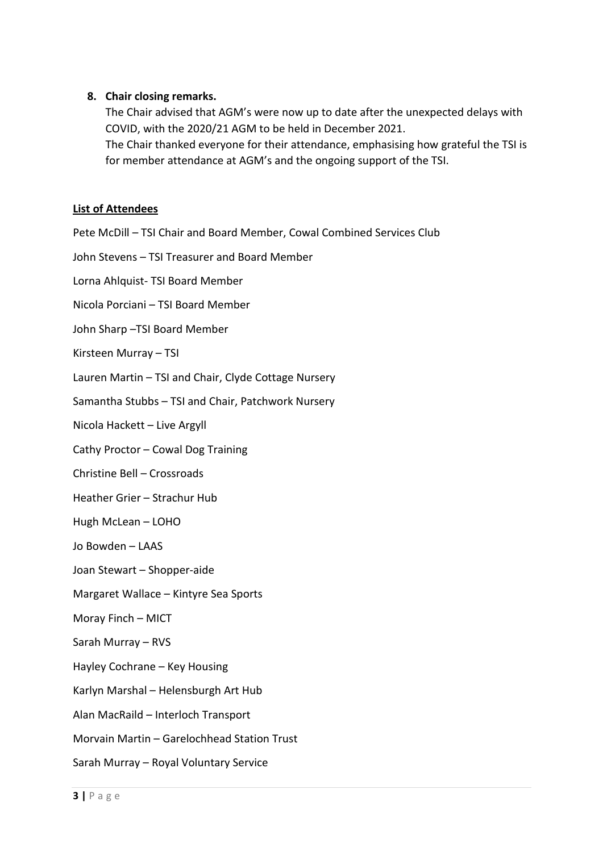# **8. Chair closing remarks.**

The Chair advised that AGM's were now up to date after the unexpected delays with COVID, with the 2020/21 AGM to be held in December 2021. The Chair thanked everyone for their attendance, emphasising how grateful the TSI is for member attendance at AGM's and the ongoing support of the TSI.

### **List of Attendees**

Pete McDill – TSI Chair and Board Member, Cowal Combined Services Club

John Stevens – TSI Treasurer and Board Member

Lorna Ahlquist- TSI Board Member

Nicola Porciani – TSI Board Member

John Sharp –TSI Board Member

Kirsteen Murray – TSI

Lauren Martin – TSI and Chair, Clyde Cottage Nursery

Samantha Stubbs – TSI and Chair, Patchwork Nursery

Nicola Hackett – Live Argyll

Cathy Proctor – Cowal Dog Training

Christine Bell – Crossroads

Heather Grier – Strachur Hub

Hugh McLean – LOHO

Jo Bowden – LAAS

Joan Stewart – Shopper-aide

Margaret Wallace – Kintyre Sea Sports

Moray Finch – MICT

Sarah Murray – RVS

Hayley Cochrane – Key Housing

Karlyn Marshal – Helensburgh Art Hub

Alan MacRaild – Interloch Transport

Morvain Martin – Garelochhead Station Trust

Sarah Murray – Royal Voluntary Service